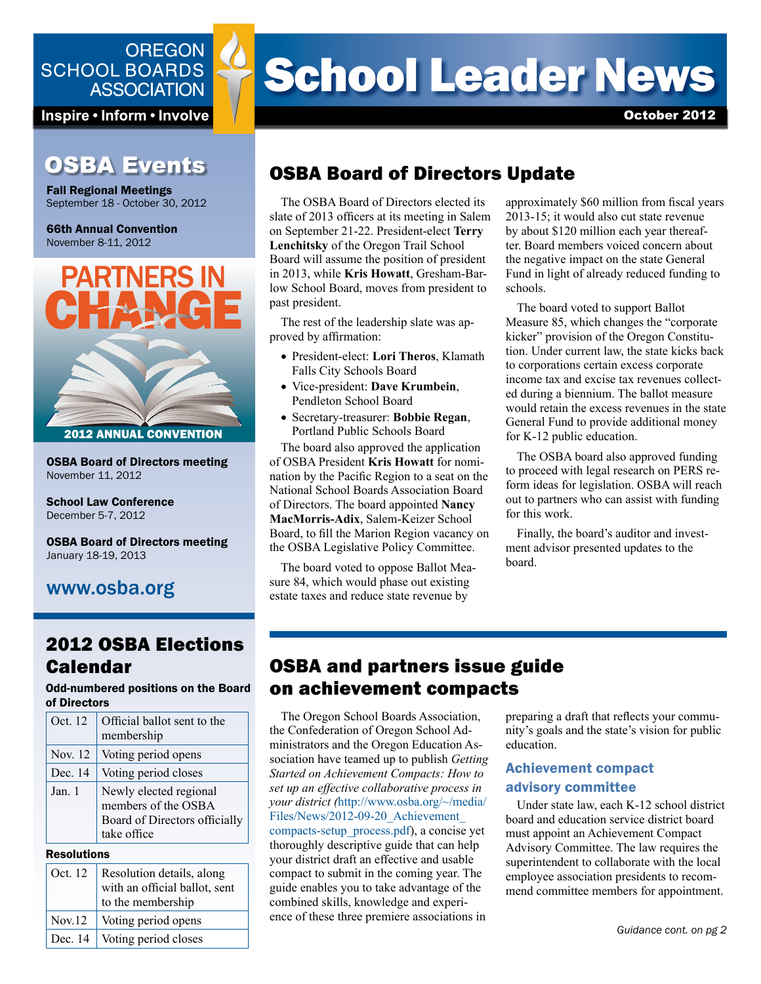### **OREGON SCHOOL BOARDS ASSOCIATION**

Inspire • Inform • Involve

## **OSBA Events**

Fall Regional Meetings September 18 - October 30, 2012

66th Annual Convention November 8-11, 2012



OSBA Board of Directors meeting November 11, 2012

School Law Conference December 5-7, 2012

OSBA Board of Directors meeting January 18-19, 2013

## www.osba.org

## 2012 OSBA Elections Calendar

Odd-numbered positions on the Board of Directors

| Oct. 12 | Official ballot sent to the<br>membership                                                     |
|---------|-----------------------------------------------------------------------------------------------|
| Nov. 12 | Voting period opens                                                                           |
| Dec. 14 | Voting period closes                                                                          |
| Jan. 1  | Newly elected regional<br>members of the OSBA<br>Board of Directors officially<br>take office |

#### Resolutions

| Oct. 12 | Resolution details, along<br>with an official ballot, sent<br>to the membership |
|---------|---------------------------------------------------------------------------------|
| Nov.12  | Voting period opens                                                             |
| Dec. 14 | Voting period closes                                                            |

# **School Leader News**

October 2012

## OSBA Board of Directors Update

The OSBA Board of Directors elected its slate of 2013 officers at its meeting in Salem on September 21-22. President-elect **Terry Lenchitsky** of the Oregon Trail School Board will assume the position of president in 2013, while **Kris Howatt**, Gresham-Barlow School Board, moves from president to past president.

The rest of the leadership slate was approved by affirmation:

- President-elect: **Lori Theros**, Klamath Falls City Schools Board
- Vice-president: **Dave Krumbein**, Pendleton School Board
- Secretary-treasurer: **Bobbie Regan**, Portland Public Schools Board

The board also approved the application of OSBA President **Kris Howatt** for nomination by the Pacific Region to a seat on the National School Boards Association Board of Directors. The board appointed **Nancy MacMorris-Adix**, Salem-Keizer School Board, to fill the Marion Region vacancy on the OSBA Legislative Policy Committee.

The board voted to oppose Ballot Measure 84, which would phase out existing estate taxes and reduce state revenue by

approximately \$60 million from fiscal years 2013-15; it would also cut state revenue by about \$120 million each year thereafter. Board members voiced concern about the negative impact on the state General Fund in light of already reduced funding to schools.

The board voted to support Ballot Measure 85, which changes the "corporate kicker" provision of the Oregon Constitution. Under current law, the state kicks back to corporations certain excess corporate income tax and excise tax revenues collected during a biennium. The ballot measure would retain the excess revenues in the state General Fund to provide additional money for K-12 public education.

The OSBA board also approved funding to proceed with legal research on PERS reform ideas for legislation. OSBA will reach out to partners who can assist with funding for this work.

Finally, the board's auditor and investment advisor presented updates to the board.

## OSBA and partners issue guide on achievement compacts

The Oregon School Boards Association, the Confederation of Oregon School Administrators and the Oregon Education Association have teamed up to publish *Getting Started on Achievement Compacts: How to set up an effective collaborative process in your district (*[http://www.osba.org/~/media/](http://www.osba.org/~/media/Files/News/2012-09-20_Achievement_compacts-setup_process.pdf) [Files/News/2012-09-20\\_Achievement\\_](http://www.osba.org/~/media/Files/News/2012-09-20_Achievement_compacts-setup_process.pdf) [compacts-setup\\_process.pdf](http://www.osba.org/~/media/Files/News/2012-09-20_Achievement_compacts-setup_process.pdf)), a concise yet thoroughly descriptive guide that can help your district draft an effective and usable compact to submit in the coming year. The guide enables you to take advantage of the combined skills, knowledge and experience of these three premiere associations in

preparing a draft that reflects your community's goals and the state's vision for public education.

#### Achievement compact advisory committee

Under state law, each K-12 school district board and education service district board must appoint an Achievement Compact Advisory Committee. The law requires the superintendent to collaborate with the local employee association presidents to recommend committee members for appointment.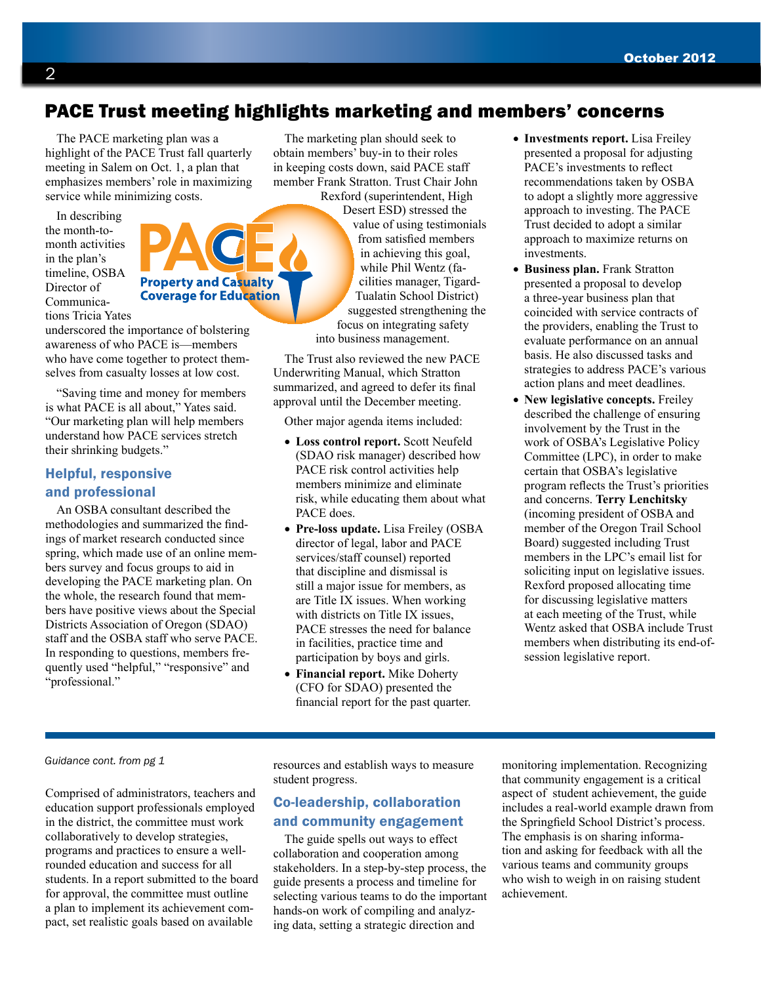## PACE Trust meeting highlights marketing and members' concerns

The PACE marketing plan was a highlight of the PACE Trust fall quarterly meeting in Salem on Oct. 1, a plan that emphasizes members' role in maximizing service while minimizing costs.

In describing the month-tomonth activities in the plan's timeline, OSBA Director of Communications Tricia Yates



underscored the importance of bolstering awareness of who PACE is—members who have come together to protect themselves from casualty losses at low cost.

"Saving time and money for members is what PACE is all about," Yates said. "Our marketing plan will help members understand how PACE services stretch their shrinking budgets."

#### Helpful, responsive and professional

An OSBA consultant described the methodologies and summarized the findings of market research conducted since spring, which made use of an online members survey and focus groups to aid in developing the PACE marketing plan. On the whole, the research found that members have positive views about the Special Districts Association of Oregon (SDAO) staff and the OSBA staff who serve PACE. In responding to questions, members frequently used "helpful," "responsive" and "professional."

The marketing plan should seek to obtain members' buy-in to their roles in keeping costs down, said PACE staff member Frank Stratton. Trust Chair John

Rexford (superintendent, High Desert ESD) stressed the value of using testimonials from satisfied members in achieving this goal, while Phil Wentz (facilities manager, Tigard-Tualatin School District) suggested strengthening the focus on integrating safety into business management.

The Trust also reviewed the new PACE Underwriting Manual, which Stratton summarized, and agreed to defer its final approval until the December meeting.

Other major agenda items included:

- **Loss control report.** Scott Neufeld (SDAO risk manager) described how PACE risk control activities help members minimize and eliminate risk, while educating them about what PACE does.
- **Pre-loss update.** Lisa Freiley (OSBA director of legal, labor and PACE services/staff counsel) reported that discipline and dismissal is still a major issue for members, as are Title IX issues. When working with districts on Title IX issues, PACE stresses the need for balance in facilities, practice time and participation by boys and girls.
- **Financial report.** Mike Doherty (CFO for SDAO) presented the financial report for the past quarter.
- **Investments report.** Lisa Freiley presented a proposal for adjusting PACE's investments to reflect recommendations taken by OSBA to adopt a slightly more aggressive approach to investing. The PACE Trust decided to adopt a similar approach to maximize returns on investments.
- **Business plan.** Frank Stratton presented a proposal to develop a three-year business plan that coincided with service contracts of the providers, enabling the Trust to evaluate performance on an annual basis. He also discussed tasks and strategies to address PACE's various action plans and meet deadlines.
- **New legislative concepts.** Freiley described the challenge of ensuring involvement by the Trust in the work of OSBA's Legislative Policy Committee (LPC), in order to make certain that OSBA's legislative program reflects the Trust's priorities and concerns. **Terry Lenchitsky** (incoming president of OSBA and member of the Oregon Trail School Board) suggested including Trust members in the LPC's email list for soliciting input on legislative issues. Rexford proposed allocating time for discussing legislative matters at each meeting of the Trust, while Wentz asked that OSBA include Trust members when distributing its end-ofsession legislative report.

#### *Guidance cont. from pg 1*

Comprised of administrators, teachers and education support professionals employed in the district, the committee must work collaboratively to develop strategies, programs and practices to ensure a wellrounded education and success for all students. In a report submitted to the board for approval, the committee must outline a plan to implement its achievement compact, set realistic goals based on available

resources and establish ways to measure student progress.

#### Co-leadership, collaboration and community engagement

The guide spells out ways to effect collaboration and cooperation among stakeholders. In a step-by-step process, the guide presents a process and timeline for selecting various teams to do the important hands-on work of compiling and analyzing data, setting a strategic direction and

monitoring implementation. Recognizing that community engagement is a critical aspect of student achievement, the guide includes a real-world example drawn from the Springfield School District's process. The emphasis is on sharing information and asking for feedback with all the various teams and community groups who wish to weigh in on raising student achievement.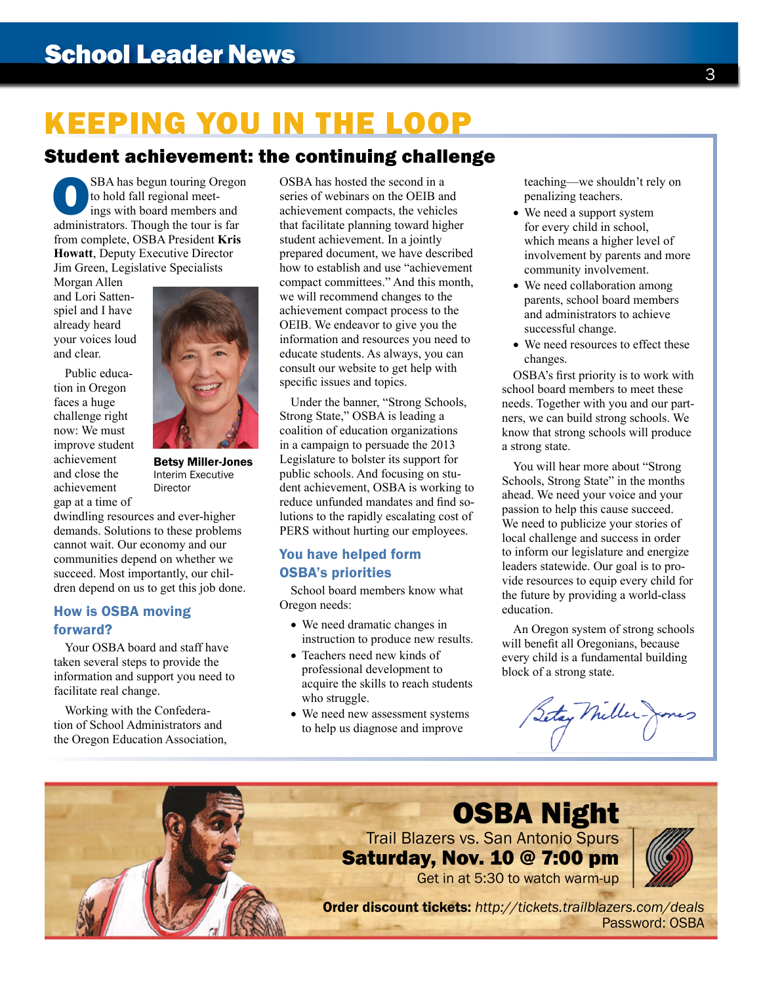# KEEPING YOU IN THE LOOP

## Student achievement: the continuing challenge

SBA has begun touring Oregon<br>to hold fall regional meet-<br>ings with board members and<br>administrators. Though the tour is far to hold fall regional meetings with board members and from complete, OSBA President **Kris Howatt**, Deputy Executive Director Jim Green, Legislative Specialists

Morgan Allen and Lori Sattenspiel and I have already heard your voices loud and clear.

Public education in Oregon faces a huge challenge right now: We must improve student achievement and close the achievement gap at a time of



#### How is OSBA moving forward?

Your OSBA board and staff have taken several steps to provide the information and support you need to facilitate real change.

Working with the Confederation of School Administrators and the Oregon Education Association, OSBA has hosted the second in a series of webinars on the OEIB and achievement compacts, the vehicles that facilitate planning toward higher student achievement. In a jointly prepared document, we have described how to establish and use "achievement compact committees." And this month, we will recommend changes to the achievement compact process to the OEIB. We endeavor to give you the information and resources you need to educate students. As always, you can consult our website to get help with specific issues and topics.

Under the banner, "Strong Schools, Strong State," OSBA is leading a coalition of education organizations in a campaign to persuade the 2013 Legislature to bolster its support for public schools. And focusing on student achievement, OSBA is working to reduce unfunded mandates and find solutions to the rapidly escalating cost of PERS without hurting our employees.

#### You have helped form OSBA's priorities

School board members know what Oregon needs:

- We need dramatic changes in instruction to produce new results.
- Teachers need new kinds of professional development to acquire the skills to reach students who struggle.
- We need new assessment systems to help us diagnose and improve

teaching—we shouldn't rely on penalizing teachers.

- We need a support system for every child in school, which means a higher level of involvement by parents and more community involvement.
- We need collaboration among parents, school board members and administrators to achieve successful change.
- We need resources to effect these changes.

OSBA's first priority is to work with school board members to meet these needs. Together with you and our partners, we can build strong schools. We know that strong schools will produce a strong state.

You will hear more about "Strong Schools, Strong State" in the months ahead. We need your voice and your passion to help this cause succeed. We need to publicize your stories of local challenge and success in order to inform our legislature and energize leaders statewide. Our goal is to provide resources to equip every child for the future by providing a world-class education.

An Oregon system of strong schools will benefit all Oregonians, because every child is a fundamental building block of a strong state.

Setay Mille





Betsy Miller-Jones Interim Executive **Director**